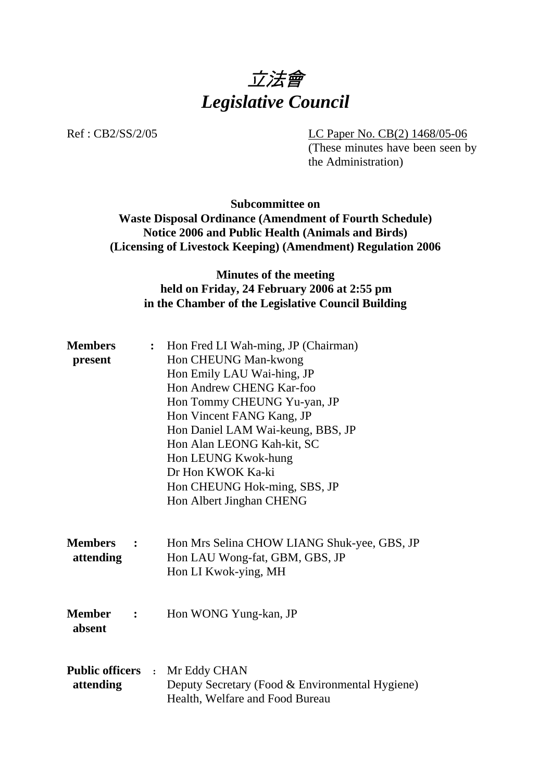

Ref : CB2/SS/2/05 LC Paper No. CB(2) 1468/05-06

(These minutes have been seen by the Administration)

# **Subcommittee on Waste Disposal Ordinance (Amendment of Fourth Schedule) Notice 2006 and Public Health (Animals and Birds) (Licensing of Livestock Keeping) (Amendment) Regulation 2006**

# **Minutes of the meeting held on Friday, 24 February 2006 at 2:55 pm in the Chamber of the Legislative Council Building**

| <b>Members</b>                                  | $\ddot{\cdot}$ | Hon Fred LI Wah-ming, JP (Chairman)                                                                                         |
|-------------------------------------------------|----------------|-----------------------------------------------------------------------------------------------------------------------------|
| present                                         |                | Hon CHEUNG Man-kwong                                                                                                        |
|                                                 |                | Hon Emily LAU Wai-hing, JP                                                                                                  |
|                                                 |                | Hon Andrew CHENG Kar-foo                                                                                                    |
|                                                 |                | Hon Tommy CHEUNG Yu-yan, JP                                                                                                 |
|                                                 |                | Hon Vincent FANG Kang, JP                                                                                                   |
|                                                 |                | Hon Daniel LAM Wai-keung, BBS, JP                                                                                           |
|                                                 |                | Hon Alan LEONG Kah-kit, SC                                                                                                  |
|                                                 |                | Hon LEUNG Kwok-hung                                                                                                         |
|                                                 |                | Dr Hon KWOK Ka-ki                                                                                                           |
|                                                 |                | Hon CHEUNG Hok-ming, SBS, JP                                                                                                |
|                                                 |                | Hon Albert Jinghan CHENG                                                                                                    |
| <b>Members</b><br>attending                     |                | Hon Mrs Selina CHOW LIANG Shuk-yee, GBS, JP<br>Hon LAU Wong-fat, GBM, GBS, JP<br>Hon LI Kwok-ying, MH                       |
| <b>Member</b><br>$\ddot{\phantom{a}}$<br>absent |                | Hon WONG Yung-kan, JP                                                                                                       |
| attending                                       |                | <b>Public officers : Mr Eddy CHAN</b><br>Deputy Secretary (Food & Environmental Hygiene)<br>Health, Welfare and Food Bureau |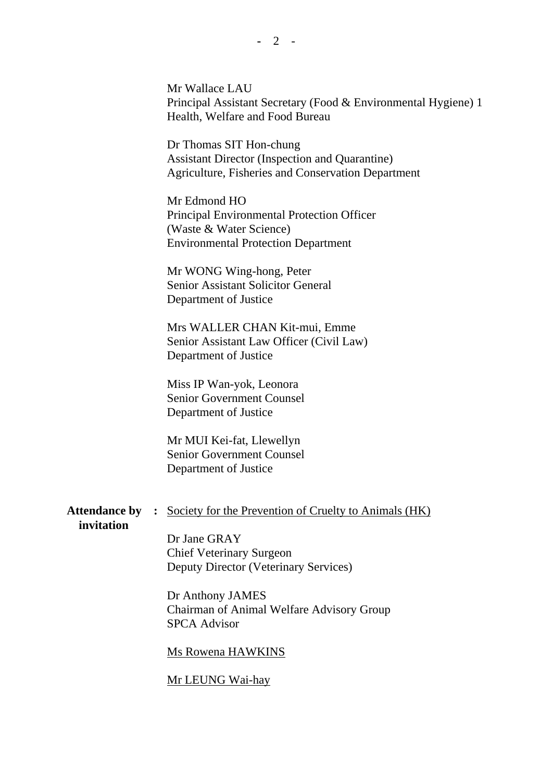Mr Wallace LAU Principal Assistant Secretary (Food & Environmental Hygiene) 1 Health, Welfare and Food Bureau

Dr Thomas SIT Hon-chung Assistant Director (Inspection and Quarantine) Agriculture, Fisheries and Conservation Department

Mr Edmond HO Principal Environmental Protection Officer (Waste & Water Science) Environmental Protection Department

Mr WONG Wing-hong, Peter Senior Assistant Solicitor General Department of Justice

Mrs WALLER CHAN Kit-mui, Emme Senior Assistant Law Officer (Civil Law) Department of Justice

Miss IP Wan-yok, Leonora Senior Government Counsel Department of Justice

Mr MUI Kei-fat, Llewellyn Senior Government Counsel Department of Justice

# Attendance by : Society for the Prevention of Cruelty to Animals (HK)

#### **invitation**

Dr Jane GRAY Chief Veterinary Surgeon Deputy Director (Veterinary Services)

Dr Anthony JAMES Chairman of Animal Welfare Advisory Group SPCA Advisor

#### Ms Rowena HAWKINS

Mr LEUNG Wai-hay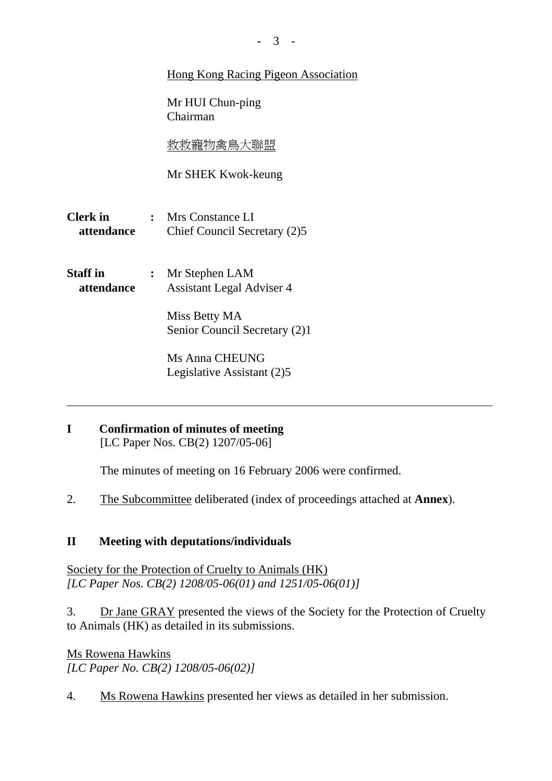# Hong Kong Racing Pigeon Association

Mr HUI Chun-ping Chairman

救救寵物禽鳥大聯盟

Mr SHEK Kwok-keung

- **Clerk in :** Mrs Constance LI  **attendance** Chief Council Secretary (2)5
- **Staff in :** Mr Stephen LAM  **attendance** Assistant Legal Adviser 4

Miss Betty MA Senior Council Secretary (2)1

Ms Anna CHEUNG Legislative Assistant (2)5

**I Confirmation of minutes of meeting**  [LC Paper Nos. CB(2) 1207/05-06]

The minutes of meeting on 16 February 2006 were confirmed.

2. The Subcommittee deliberated (index of proceedings attached at **Annex**).

# **II Meeting with deputations/individuals**

Society for the Protection of Cruelty to Animals (HK) *[LC Paper Nos. CB(2) 1208/05-06(01) and 1251/05-06(01)]* 

3. Dr Jane GRAY presented the views of the Society for the Protection of Cruelty to Animals (HK) as detailed in its submissions.

Ms Rowena Hawkins *[LC Paper No. CB(2) 1208/05-06(02)]* 

4. Ms Rowena Hawkins presented her views as detailed in her submission.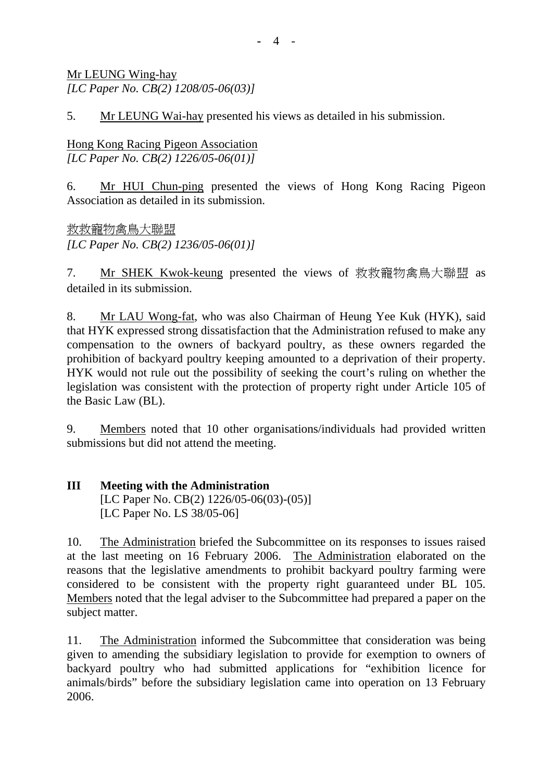Mr LEUNG Wing-hay *[LC Paper No. CB(2) 1208/05-06(03)]* 

5. Mr LEUNG Wai-hay presented his views as detailed in his submission.

Hong Kong Racing Pigeon Association *[LC Paper No. CB(2) 1226/05-06(01)]* 

6. Mr HUI Chun-ping presented the views of Hong Kong Racing Pigeon Association as detailed in its submission.

救救寵物禽鳥大聯盟 *[LC Paper No. CB(2) 1236/05-06(01)]* 

7. Mr SHEK Kwok-keung presented the views of 救救寵物禽鳥大聯盟 as detailed in its submission.

8. Mr LAU Wong-fat, who was also Chairman of Heung Yee Kuk (HYK), said that HYK expressed strong dissatisfaction that the Administration refused to make any compensation to the owners of backyard poultry, as these owners regarded the prohibition of backyard poultry keeping amounted to a deprivation of their property. HYK would not rule out the possibility of seeking the court's ruling on whether the legislation was consistent with the protection of property right under Article 105 of the Basic Law (BL).

9. Members noted that 10 other organisations/individuals had provided written submissions but did not attend the meeting.

#### **III Meeting with the Administration**  [LC Paper No. CB(2) 1226/05-06(03)-(05)] [LC Paper No. LS 38/05-06]

10. The Administration briefed the Subcommittee on its responses to issues raised at the last meeting on 16 February 2006. The Administration elaborated on the reasons that the legislative amendments to prohibit backyard poultry farming were considered to be consistent with the property right guaranteed under BL 105. Members noted that the legal adviser to the Subcommittee had prepared a paper on the subject matter.

11. The Administration informed the Subcommittee that consideration was being given to amending the subsidiary legislation to provide for exemption to owners of backyard poultry who had submitted applications for "exhibition licence for animals/birds" before the subsidiary legislation came into operation on 13 February 2006.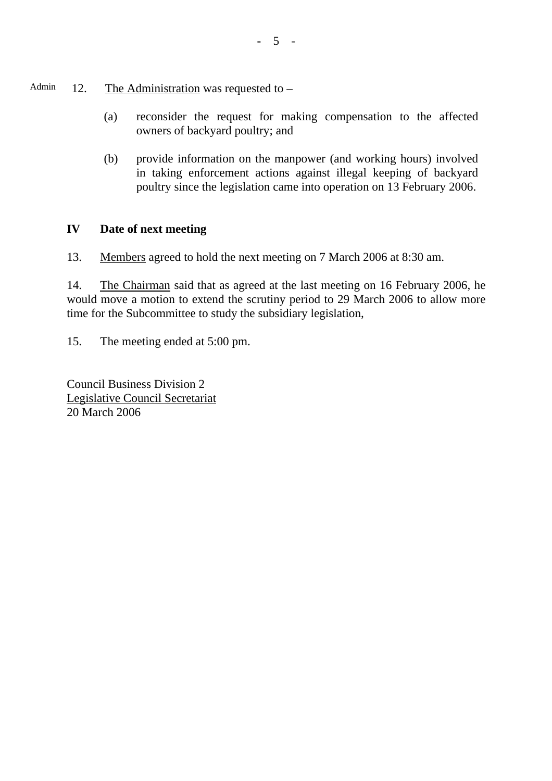- Admin 12. The Administration was requested to  $-$ 
	- (a) reconsider the request for making compensation to the affected owners of backyard poultry; and
	- (b) provide information on the manpower (and working hours) involved in taking enforcement actions against illegal keeping of backyard poultry since the legislation came into operation on 13 February 2006.

# **IV Date of next meeting**

13. Members agreed to hold the next meeting on 7 March 2006 at 8:30 am.

14. The Chairman said that as agreed at the last meeting on 16 February 2006, he would move a motion to extend the scrutiny period to 29 March 2006 to allow more time for the Subcommittee to study the subsidiary legislation,

15. The meeting ended at 5:00 pm.

Council Business Division 2 Legislative Council Secretariat 20 March 2006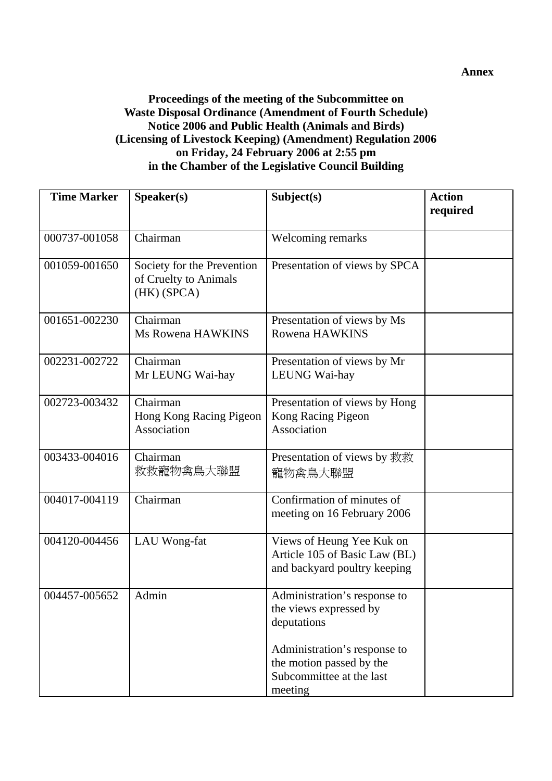# **Proceedings of the meeting of the Subcommittee on Waste Disposal Ordinance (Amendment of Fourth Schedule) Notice 2006 and Public Health (Animals and Birds) (Licensing of Livestock Keeping) (Amendment) Regulation 2006 on Friday, 24 February 2006 at 2:55 pm in the Chamber of the Legislative Council Building**

| <b>Time Marker</b> | Speaker(s)                                                         | Subject(s)                                                                                      | <b>Action</b><br>required |
|--------------------|--------------------------------------------------------------------|-------------------------------------------------------------------------------------------------|---------------------------|
| 000737-001058      | Chairman                                                           | Welcoming remarks                                                                               |                           |
| 001059-001650      | Society for the Prevention<br>of Cruelty to Animals<br>(HK) (SPCA) | Presentation of views by SPCA                                                                   |                           |
| 001651-002230      | Chairman<br>Ms Rowena HAWKINS                                      | Presentation of views by Ms<br>Rowena HAWKINS                                                   |                           |
| 002231-002722      | Chairman<br>Mr LEUNG Wai-hay                                       | Presentation of views by Mr<br>LEUNG Wai-hay                                                    |                           |
| 002723-003432      | Chairman<br>Hong Kong Racing Pigeon<br>Association                 | Presentation of views by Hong<br>Kong Racing Pigeon<br>Association                              |                           |
| 003433-004016      | Chairman<br>救救寵物禽鳥大聯盟                                              | Presentation of views by 救救<br>寵物禽鳥大聯盟                                                          |                           |
| 004017-004119      | Chairman                                                           | Confirmation of minutes of<br>meeting on 16 February 2006                                       |                           |
| 004120-004456      | LAU Wong-fat                                                       | Views of Heung Yee Kuk on<br>Article 105 of Basic Law (BL)<br>and backyard poultry keeping      |                           |
| 004457-005652      | Admin                                                              | Administration's response to<br>the views expressed by<br>deputations                           |                           |
|                    |                                                                    | Administration's response to<br>the motion passed by the<br>Subcommittee at the last<br>meeting |                           |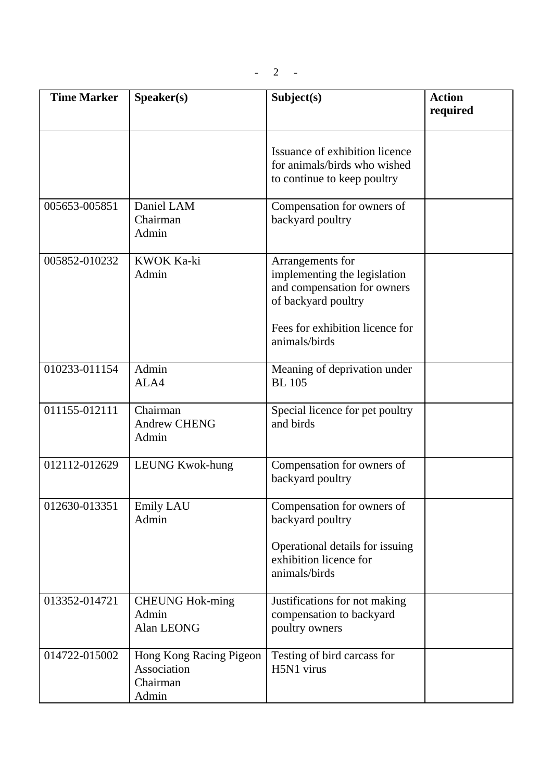| <b>Time Marker</b> | Speaker(s)                                                  | Subject(s)                                                                                                                                | <b>Action</b><br>required |
|--------------------|-------------------------------------------------------------|-------------------------------------------------------------------------------------------------------------------------------------------|---------------------------|
|                    |                                                             |                                                                                                                                           |                           |
|                    |                                                             | Issuance of exhibition licence<br>for animals/birds who wished<br>to continue to keep poultry                                             |                           |
| 005653-005851      | Daniel LAM<br>Chairman<br>Admin                             | Compensation for owners of<br>backyard poultry                                                                                            |                           |
| 005852-010232      | <b>KWOK Ka-ki</b><br>Admin                                  | Arrangements for<br>implementing the legislation<br>and compensation for owners<br>of backyard poultry<br>Fees for exhibition licence for |                           |
|                    |                                                             | animals/birds                                                                                                                             |                           |
| 010233-011154      | Admin<br>ALA4                                               | Meaning of deprivation under<br><b>BL</b> 105                                                                                             |                           |
| 011155-012111      | Chairman<br><b>Andrew CHENG</b><br>Admin                    | Special licence for pet poultry<br>and birds                                                                                              |                           |
| 012112-012629      | <b>LEUNG Kwok-hung</b>                                      | Compensation for owners of<br>backyard poultry                                                                                            |                           |
| 012630-013351      | <b>Emily LAU</b><br>Admin                                   | Compensation for owners of<br>backyard poultry                                                                                            |                           |
|                    |                                                             | Operational details for issuing<br>exhibition licence for<br>animals/birds                                                                |                           |
| 013352-014721      | <b>CHEUNG Hok-ming</b><br>Admin<br>Alan LEONG               | Justifications for not making<br>compensation to backyard<br>poultry owners                                                               |                           |
| 014722-015002      | Hong Kong Racing Pigeon<br>Association<br>Chairman<br>Admin | Testing of bird carcass for<br>H5N1 virus                                                                                                 |                           |